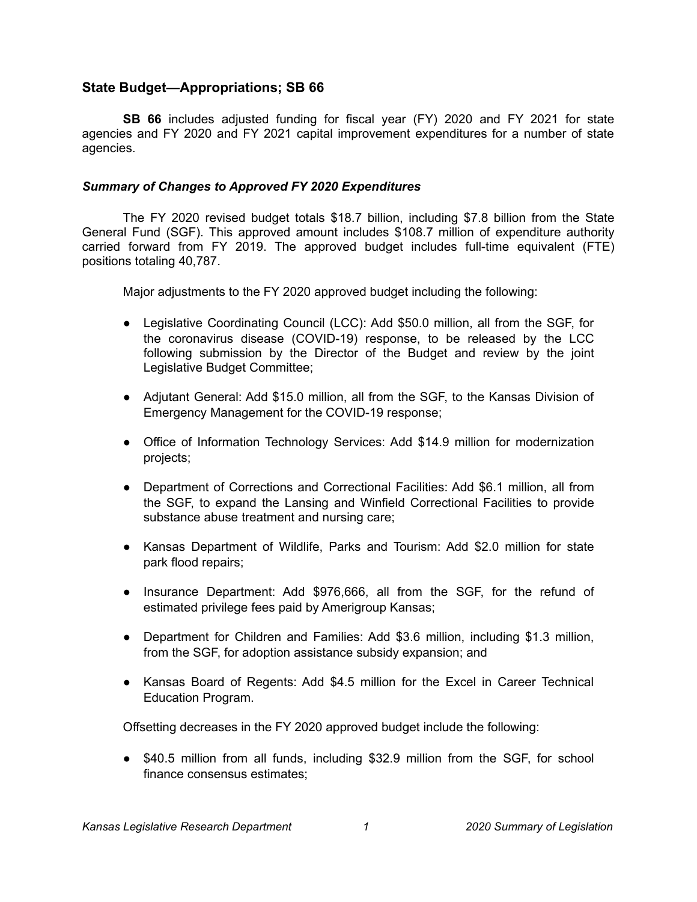# **State Budget—Appropriations; SB 66**

**SB 66** includes adjusted funding for fiscal year (FY) 2020 and FY 2021 for state agencies and FY 2020 and FY 2021 capital improvement expenditures for a number of state agencies.

#### *Summary of Changes to Approved FY 2020 Expenditures*

The FY 2020 revised budget totals \$18.7 billion, including \$7.8 billion from the State General Fund (SGF). This approved amount includes \$108.7 million of expenditure authority carried forward from FY 2019. The approved budget includes full-time equivalent (FTE) positions totaling 40,787.

Major adjustments to the FY 2020 approved budget including the following:

- Legislative Coordinating Council (LCC): Add \$50.0 million, all from the SGF, for the coronavirus disease (COVID-19) response, to be released by the LCC following submission by the Director of the Budget and review by the joint Legislative Budget Committee;
- Adjutant General: Add \$15.0 million, all from the SGF, to the Kansas Division of Emergency Management for the COVID-19 response;
- Office of Information Technology Services: Add \$14.9 million for modernization projects;
- Department of Corrections and Correctional Facilities: Add \$6.1 million, all from the SGF, to expand the Lansing and Winfield Correctional Facilities to provide substance abuse treatment and nursing care;
- Kansas Department of Wildlife, Parks and Tourism: Add \$2.0 million for state park flood repairs;
- Insurance Department: Add \$976,666, all from the SGF, for the refund of estimated privilege fees paid by Amerigroup Kansas;
- Department for Children and Families: Add \$3.6 million, including \$1.3 million, from the SGF, for adoption assistance subsidy expansion; and
- Kansas Board of Regents: Add \$4.5 million for the Excel in Career Technical Education Program.

Offsetting decreases in the FY 2020 approved budget include the following:

● \$40.5 million from all funds, including \$32.9 million from the SGF, for school finance consensus estimates;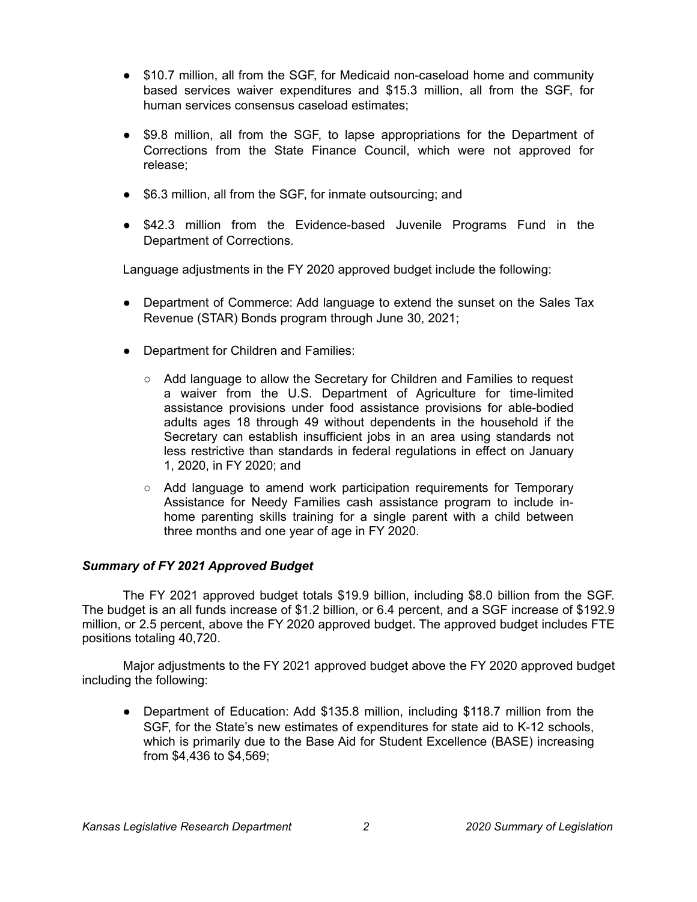- \$10.7 million, all from the SGF, for Medicaid non-caseload home and community based services waiver expenditures and \$15.3 million, all from the SGF, for human services consensus caseload estimates;
- \$9.8 million, all from the SGF, to lapse appropriations for the Department of Corrections from the State Finance Council, which were not approved for release;
- \$6.3 million, all from the SGF, for inmate outsourcing; and
- \$42.3 million from the Evidence-based Juvenile Programs Fund in the Department of Corrections.

Language adjustments in the FY 2020 approved budget include the following:

- Department of Commerce: Add language to extend the sunset on the Sales Tax Revenue (STAR) Bonds program through June 30, 2021;
- Department for Children and Families:
	- Add language to allow the Secretary for Children and Families to request a waiver from the U.S. Department of Agriculture for time-limited assistance provisions under food assistance provisions for able-bodied adults ages 18 through 49 without dependents in the household if the Secretary can establish insufficient jobs in an area using standards not less restrictive than standards in federal regulations in effect on January 1, 2020, in FY 2020; and
	- Add language to amend work participation requirements for Temporary Assistance for Needy Families cash assistance program to include inhome parenting skills training for a single parent with a child between three months and one year of age in FY 2020.

### *Summary of FY 2021 Approved Budget*

The FY 2021 approved budget totals \$19.9 billion, including \$8.0 billion from the SGF. The budget is an all funds increase of \$1.2 billion, or 6.4 percent, and a SGF increase of \$192.9 million, or 2.5 percent, above the FY 2020 approved budget. The approved budget includes FTE positions totaling 40,720.

Major adjustments to the FY 2021 approved budget above the FY 2020 approved budget including the following:

● Department of Education: Add \$135.8 million, including \$118.7 million from the SGF, for the State's new estimates of expenditures for state aid to K-12 schools, which is primarily due to the Base Aid for Student Excellence (BASE) increasing from \$4,436 to \$4,569;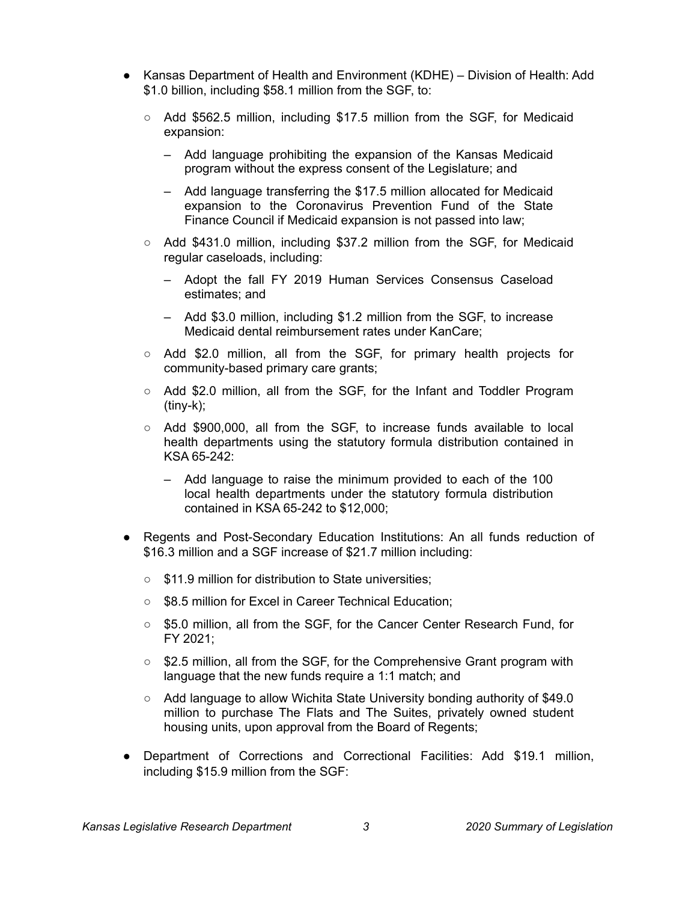- Kansas Department of Health and Environment (KDHE) Division of Health: Add \$1.0 billion, including \$58.1 million from the SGF, to:
	- Add \$562.5 million, including \$17.5 million from the SGF, for Medicaid expansion:
		- Add language prohibiting the expansion of the Kansas Medicaid program without the express consent of the Legislature; and
		- Add language transferring the \$17.5 million allocated for Medicaid expansion to the Coronavirus Prevention Fund of the State Finance Council if Medicaid expansion is not passed into law;
	- Add \$431.0 million, including \$37.2 million from the SGF, for Medicaid regular caseloads, including:
		- Adopt the fall FY 2019 Human Services Consensus Caseload estimates; and
		- Add \$3.0 million, including \$1.2 million from the SGF, to increase Medicaid dental reimbursement rates under KanCare;
	- $\circ$  Add \$2.0 million, all from the SGF, for primary health projects for community-based primary care grants;
	- Add \$2.0 million, all from the SGF, for the Infant and Toddler Program (tiny-k);
	- Add \$900,000, all from the SGF, to increase funds available to local health departments using the statutory formula distribution contained in KSA 65-242:
		- Add language to raise the minimum provided to each of the 100 local health departments under the statutory formula distribution contained in KSA 65-242 to \$12,000;
- Regents and Post-Secondary Education Institutions: An all funds reduction of \$16.3 million and a SGF increase of \$21.7 million including:
	- \$11.9 million for distribution to State universities:
	- \$8.5 million for Excel in Career Technical Education;
	- \$5.0 million, all from the SGF, for the Cancer Center Research Fund, for FY 2021;
	- \$2.5 million, all from the SGF, for the Comprehensive Grant program with language that the new funds require a 1:1 match; and
	- Add language to allow Wichita State University bonding authority of \$49.0 million to purchase The Flats and The Suites, privately owned student housing units, upon approval from the Board of Regents;
- Department of Corrections and Correctional Facilities: Add \$19.1 million, including \$15.9 million from the SGF: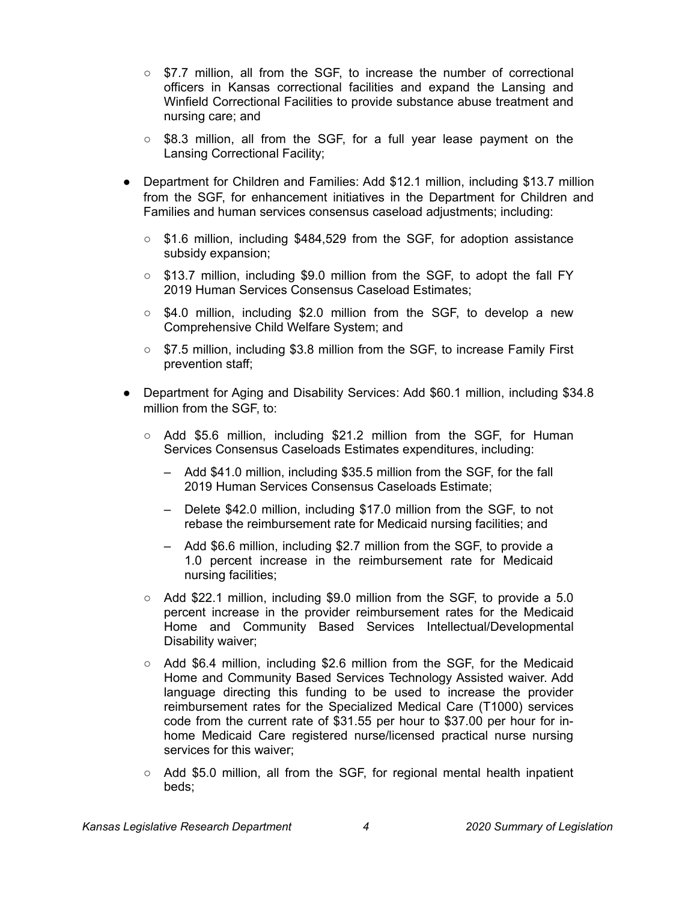- \$7.7 million, all from the SGF, to increase the number of correctional officers in Kansas correctional facilities and expand the Lansing and Winfield Correctional Facilities to provide substance abuse treatment and nursing care; and
- \$8.3 million, all from the SGF, for a full year lease payment on the Lansing Correctional Facility;
- Department for Children and Families: Add \$12.1 million, including \$13.7 million from the SGF, for enhancement initiatives in the Department for Children and Families and human services consensus caseload adjustments; including:
	- \$1.6 million, including \$484,529 from the SGF, for adoption assistance subsidy expansion;
	- $\circ$  \$13.7 million, including \$9.0 million from the SGF, to adopt the fall FY 2019 Human Services Consensus Caseload Estimates;
	- \$4.0 million, including \$2.0 million from the SGF, to develop a new Comprehensive Child Welfare System; and
	- \$7.5 million, including \$3.8 million from the SGF, to increase Family First prevention staff;
- Department for Aging and Disability Services: Add \$60.1 million, including \$34.8 million from the SGF, to:
	- $\circ$  Add \$5.6 million, including \$21.2 million from the SGF, for Human Services Consensus Caseloads Estimates expenditures, including:
		- Add \$41.0 million, including \$35.5 million from the SGF, for the fall 2019 Human Services Consensus Caseloads Estimate;
		- Delete \$42.0 million, including \$17.0 million from the SGF, to not rebase the reimbursement rate for Medicaid nursing facilities; and
		- Add \$6.6 million, including \$2.7 million from the SGF, to provide a 1.0 percent increase in the reimbursement rate for Medicaid nursing facilities;
	- $\circ$  Add \$22.1 million, including \$9.0 million from the SGF, to provide a 5.0 percent increase in the provider reimbursement rates for the Medicaid Home and Community Based Services Intellectual/Developmental Disability waiver;
	- Add \$6.4 million, including \$2.6 million from the SGF, for the Medicaid Home and Community Based Services Technology Assisted waiver. Add language directing this funding to be used to increase the provider reimbursement rates for the Specialized Medical Care (T1000) services code from the current rate of \$31.55 per hour to \$37.00 per hour for inhome Medicaid Care registered nurse/licensed practical nurse nursing services for this waiver;
	- $\circ$  Add \$5.0 million, all from the SGF, for regional mental health inpatient beds;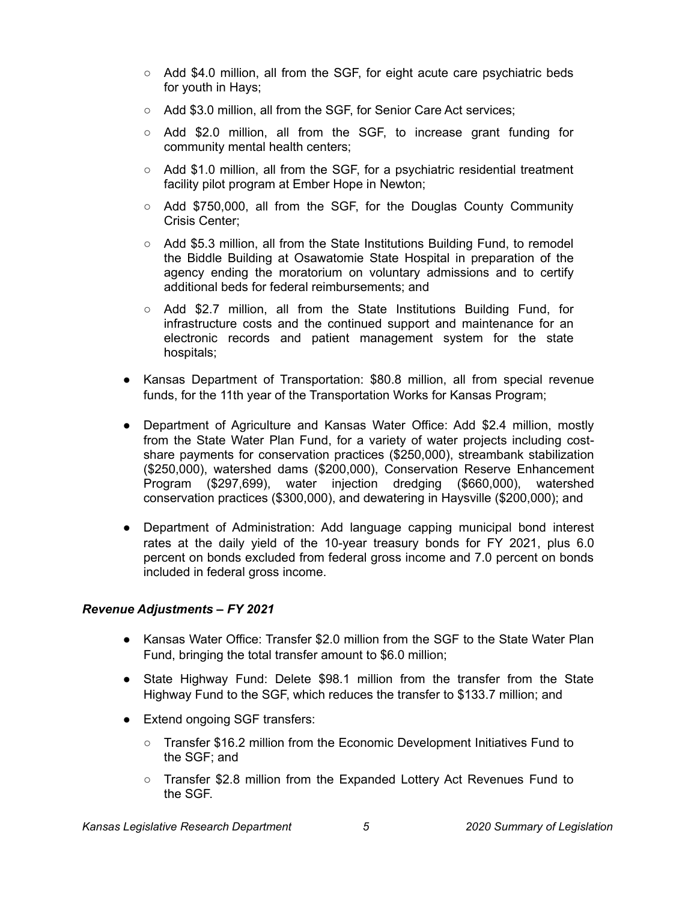- Add \$4.0 million, all from the SGF, for eight acute care psychiatric beds for youth in Hays;
- Add \$3.0 million, all from the SGF, for Senior Care Act services;
- $\circ$  Add \$2.0 million, all from the SGF, to increase grant funding for community mental health centers;
- Add \$1.0 million, all from the SGF, for a psychiatric residential treatment facility pilot program at Ember Hope in Newton;
- Add \$750,000, all from the SGF, for the Douglas County Community Crisis Center;
- Add \$5.3 million, all from the State Institutions Building Fund, to remodel the Biddle Building at Osawatomie State Hospital in preparation of the agency ending the moratorium on voluntary admissions and to certify additional beds for federal reimbursements; and
- $\circ$  Add \$2.7 million, all from the State Institutions Building Fund, for infrastructure costs and the continued support and maintenance for an electronic records and patient management system for the state hospitals;
- Kansas Department of Transportation: \$80.8 million, all from special revenue funds, for the 11th year of the Transportation Works for Kansas Program;
- Department of Agriculture and Kansas Water Office: Add \$2.4 million, mostly from the State Water Plan Fund, for a variety of water projects including costshare payments for conservation practices (\$250,000), streambank stabilization (\$250,000), watershed dams (\$200,000), Conservation Reserve Enhancement Program (\$297,699), water injection dredging (\$660,000), watershed conservation practices (\$300,000), and dewatering in Haysville (\$200,000); and
- Department of Administration: Add language capping municipal bond interest rates at the daily yield of the 10-year treasury bonds for FY 2021, plus 6.0 percent on bonds excluded from federal gross income and 7.0 percent on bonds included in federal gross income.

### *Revenue Adjustments – FY 2021*

- Kansas Water Office: Transfer \$2.0 million from the SGF to the State Water Plan Fund, bringing the total transfer amount to \$6.0 million;
- State Highway Fund: Delete \$98.1 million from the transfer from the State Highway Fund to the SGF, which reduces the transfer to \$133.7 million; and
- Extend ongoing SGF transfers:
	- Transfer \$16.2 million from the Economic Development Initiatives Fund to the SGF; and
	- Transfer \$2.8 million from the Expanded Lottery Act Revenues Fund to the SGF.